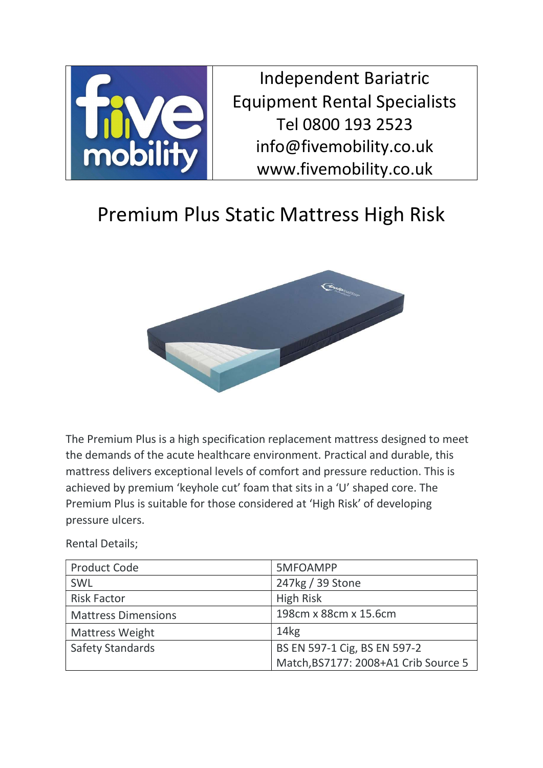

Independent Bariatric Equipment Rental Specialists Tel 0800 193 2523 info@fivemobility.co.uk www.fivemobility.co.uk

## Premium Plus Static Mattress High Risk



The Premium Plus is a high specification replacement mattress designed to meet the demands of the acute healthcare environment. Practical and durable, this mattress delivers exceptional levels of comfort and pressure reduction. This is achieved by premium 'keyhole cut' foam that sits in a 'U' shaped core. The Premium Plus is suitable for those considered at 'High Risk' of developing pressure ulcers.

Rental Details;

| <b>Product Code</b>        | 5MFOAMPP                             |
|----------------------------|--------------------------------------|
| SWL                        | 247kg / 39 Stone                     |
| <b>Risk Factor</b>         | <b>High Risk</b>                     |
| <b>Mattress Dimensions</b> | 198cm x 88cm x 15.6cm                |
| <b>Mattress Weight</b>     | 14kg                                 |
| <b>Safety Standards</b>    | BS EN 597-1 Cig, BS EN 597-2         |
|                            | Match, BS7177: 2008+A1 Crib Source 5 |